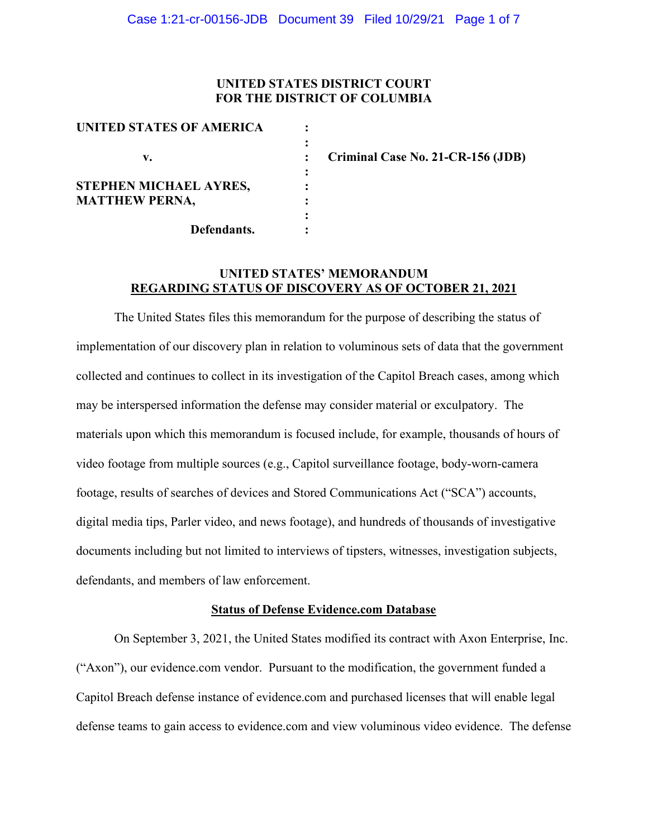### **UNITED STATES DISTRICT COURT FOR THE DISTRICT OF COLUMBIA**

| <b>UNITED STATES OF AMERICA</b> |  |
|---------------------------------|--|
|                                 |  |
| v.                              |  |
|                                 |  |
| STEPHEN MICHAEL AYRES,          |  |
| <b>MATTHEW PERNA,</b>           |  |
|                                 |  |
| Defendants.                     |  |

 **v. : Criminal Case No. 21-CR-156 (JDB)**

# **UNITED STATES' MEMORANDUM REGARDING STATUS OF DISCOVERY AS OF OCTOBER 21, 2021**

The United States files this memorandum for the purpose of describing the status of implementation of our discovery plan in relation to voluminous sets of data that the government collected and continues to collect in its investigation of the Capitol Breach cases, among which may be interspersed information the defense may consider material or exculpatory. The materials upon which this memorandum is focused include, for example, thousands of hours of video footage from multiple sources (e.g., Capitol surveillance footage, body-worn-camera footage, results of searches of devices and Stored Communications Act ("SCA") accounts, digital media tips, Parler video, and news footage), and hundreds of thousands of investigative documents including but not limited to interviews of tipsters, witnesses, investigation subjects, defendants, and members of law enforcement.

#### **Status of Defense Evidence.com Database**

On September 3, 2021, the United States modified its contract with Axon Enterprise, Inc. ("Axon"), our evidence.com vendor. Pursuant to the modification, the government funded a Capitol Breach defense instance of evidence.com and purchased licenses that will enable legal defense teams to gain access to evidence.com and view voluminous video evidence. The defense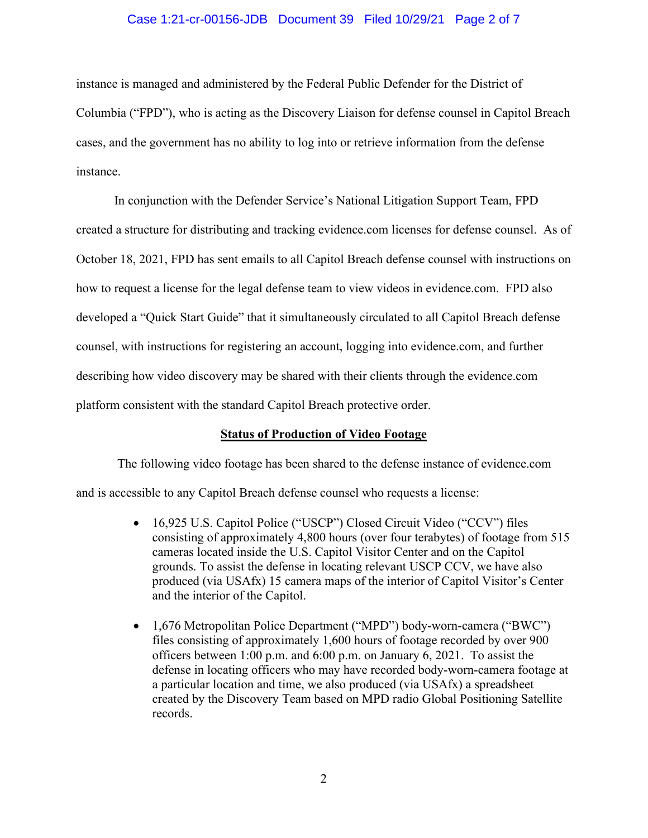#### Case 1:21-cr-00156-JDB Document 39 Filed 10/29/21 Page 2 of 7

instance is managed and administered by the Federal Public Defender for the District of Columbia ("FPD"), who is acting as the Discovery Liaison for defense counsel in Capitol Breach cases, and the government has no ability to log into or retrieve information from the defense instance.

In conjunction with the Defender Service's National Litigation Support Team, FPD created a structure for distributing and tracking evidence.com licenses for defense counsel. As of October 18, 2021, FPD has sent emails to all Capitol Breach defense counsel with instructions on how to request a license for the legal defense team to view videos in evidence.com. FPD also developed a "Quick Start Guide" that it simultaneously circulated to all Capitol Breach defense counsel, with instructions for registering an account, logging into evidence.com, and further describing how video discovery may be shared with their clients through the evidence.com platform consistent with the standard Capitol Breach protective order.

### **Status of Production of Video Footage**

The following video footage has been shared to the defense instance of evidence.com and is accessible to any Capitol Breach defense counsel who requests a license:

- 16,925 U.S. Capitol Police ("USCP") Closed Circuit Video ("CCV") files consisting of approximately 4,800 hours (over four terabytes) of footage from 515 cameras located inside the U.S. Capitol Visitor Center and on the Capitol grounds. To assist the defense in locating relevant USCP CCV, we have also produced (via USAfx) 15 camera maps of the interior of Capitol Visitor's Center and the interior of the Capitol.
- 1,676 Metropolitan Police Department ("MPD") body-worn-camera ("BWC") files consisting of approximately 1,600 hours of footage recorded by over 900 officers between 1:00 p.m. and 6:00 p.m. on January 6, 2021. To assist the defense in locating officers who may have recorded body-worn-camera footage at a particular location and time, we also produced (via USAfx) a spreadsheet created by the Discovery Team based on MPD radio Global Positioning Satellite records.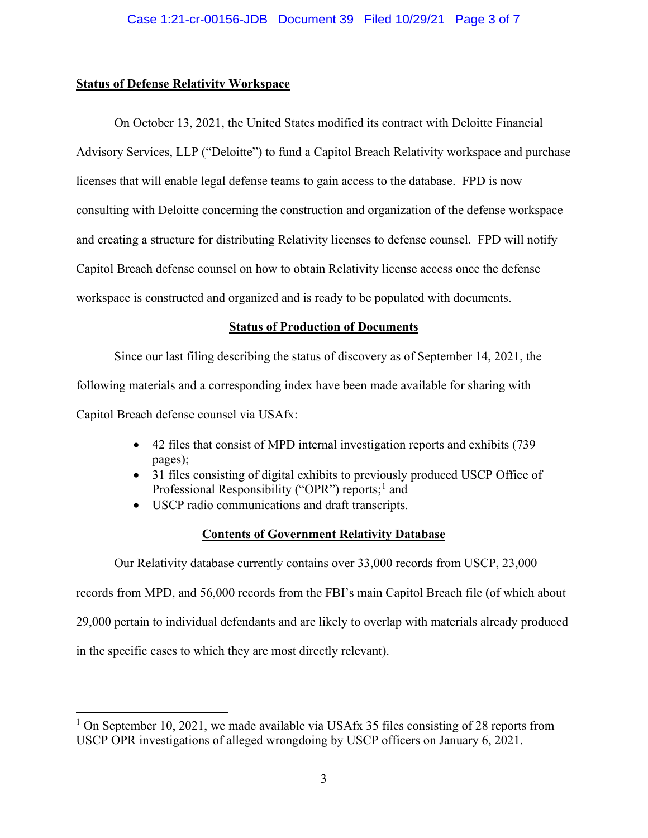## **Status of Defense Relativity Workspace**

On October 13, 2021, the United States modified its contract with Deloitte Financial Advisory Services, LLP ("Deloitte") to fund a Capitol Breach Relativity workspace and purchase licenses that will enable legal defense teams to gain access to the database. FPD is now consulting with Deloitte concerning the construction and organization of the defense workspace and creating a structure for distributing Relativity licenses to defense counsel. FPD will notify Capitol Breach defense counsel on how to obtain Relativity license access once the defense workspace is constructed and organized and is ready to be populated with documents.

## **Status of Production of Documents**

Since our last filing describing the status of discovery as of September 14, 2021, the following materials and a corresponding index have been made available for sharing with Capitol Breach defense counsel via USAfx:

- 42 files that consist of MPD internal investigation reports and exhibits (739 pages);
- 31 files consisting of digital exhibits to previously produced USCP Office of Professional Responsibility ("OPR") reports;<sup>1</sup> and
- USCP radio communications and draft transcripts.

## **Contents of Government Relativity Database**

Our Relativity database currently contains over 33,000 records from USCP, 23,000

records from MPD, and 56,000 records from the FBI's main Capitol Breach file (of which about

29,000 pertain to individual defendants and are likely to overlap with materials already produced

in the specific cases to which they are most directly relevant).

<sup>&</sup>lt;sup>1</sup> On September 10, 2021, we made available via USAfx 35 files consisting of 28 reports from USCP OPR investigations of alleged wrongdoing by USCP officers on January 6, 2021.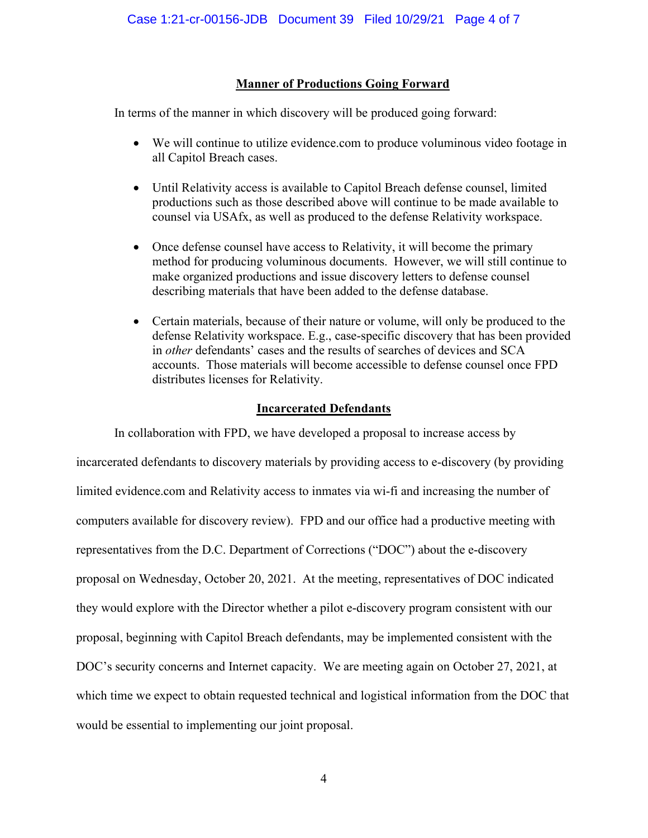# **Manner of Productions Going Forward**

In terms of the manner in which discovery will be produced going forward:

- We will continue to utilize evidence.com to produce voluminous video footage in all Capitol Breach cases.
- Until Relativity access is available to Capitol Breach defense counsel, limited productions such as those described above will continue to be made available to counsel via USAfx, as well as produced to the defense Relativity workspace.
- Once defense counsel have access to Relativity, it will become the primary method for producing voluminous documents. However, we will still continue to make organized productions and issue discovery letters to defense counsel describing materials that have been added to the defense database.
- Certain materials, because of their nature or volume, will only be produced to the defense Relativity workspace. E.g., case-specific discovery that has been provided in *other* defendants' cases and the results of searches of devices and SCA accounts. Those materials will become accessible to defense counsel once FPD distributes licenses for Relativity.

## **Incarcerated Defendants**

In collaboration with FPD, we have developed a proposal to increase access by incarcerated defendants to discovery materials by providing access to e-discovery (by providing limited evidence.com and Relativity access to inmates via wi-fi and increasing the number of computers available for discovery review). FPD and our office had a productive meeting with representatives from the D.C. Department of Corrections ("DOC") about the e-discovery proposal on Wednesday, October 20, 2021. At the meeting, representatives of DOC indicated they would explore with the Director whether a pilot e-discovery program consistent with our proposal, beginning with Capitol Breach defendants, may be implemented consistent with the DOC's security concerns and Internet capacity. We are meeting again on October 27, 2021, at which time we expect to obtain requested technical and logistical information from the DOC that would be essential to implementing our joint proposal.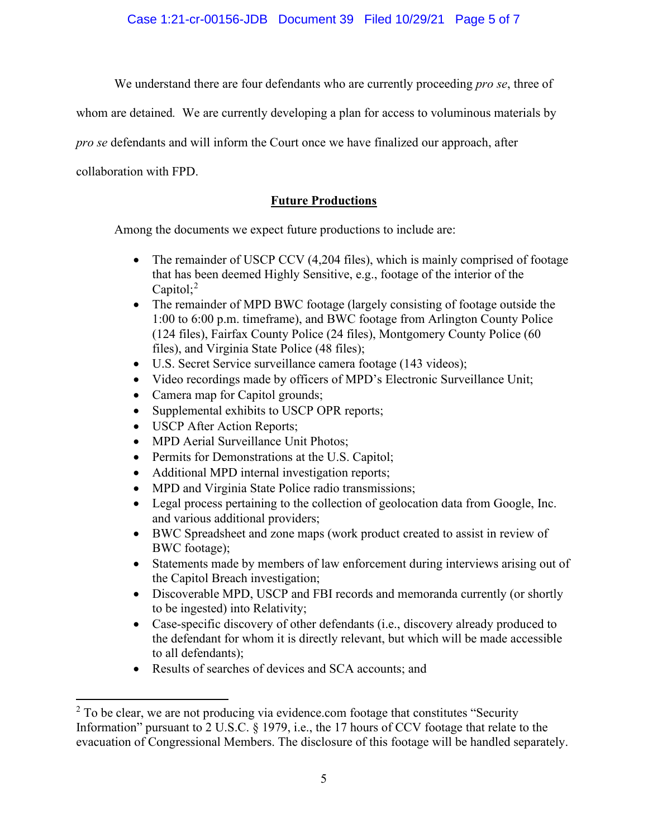Case 1:21-cr-00156-JDB Document 39 Filed 10/29/21 Page 5 of 7

We understand there are four defendants who are currently proceeding *pro se*, three of

whom are detained*.* We are currently developing a plan for access to voluminous materials by

*pro se* defendants and will inform the Court once we have finalized our approach, after

collaboration with FPD.

# **Future Productions**

Among the documents we expect future productions to include are:

- The remainder of USCP CCV (4,204 files), which is mainly comprised of footage that has been deemed Highly Sensitive, e.g., footage of the interior of the Capitol;<sup>2</sup>
- The remainder of MPD BWC footage (largely consisting of footage outside the 1:00 to 6:00 p.m. timeframe), and BWC footage from Arlington County Police (124 files), Fairfax County Police (24 files), Montgomery County Police (60 files), and Virginia State Police (48 files);
- U.S. Secret Service surveillance camera footage (143 videos);
- Video recordings made by officers of MPD's Electronic Surveillance Unit;
- Camera map for Capitol grounds;
- Supplemental exhibits to USCP OPR reports;
- USCP After Action Reports;
- MPD Aerial Surveillance Unit Photos;
- Permits for Demonstrations at the U.S. Capitol;
- Additional MPD internal investigation reports;
- MPD and Virginia State Police radio transmissions;
- Legal process pertaining to the collection of geolocation data from Google, Inc. and various additional providers;
- BWC Spreadsheet and zone maps (work product created to assist in review of BWC footage);
- Statements made by members of law enforcement during interviews arising out of the Capitol Breach investigation;
- Discoverable MPD, USCP and FBI records and memoranda currently (or shortly to be ingested) into Relativity;
- Case-specific discovery of other defendants (i.e., discovery already produced to the defendant for whom it is directly relevant, but which will be made accessible to all defendants);
- Results of searches of devices and SCA accounts; and

 $2$  To be clear, we are not producing via evidence.com footage that constitutes "Security Information" pursuant to 2 U.S.C. § 1979, i.e., the 17 hours of CCV footage that relate to the evacuation of Congressional Members. The disclosure of this footage will be handled separately.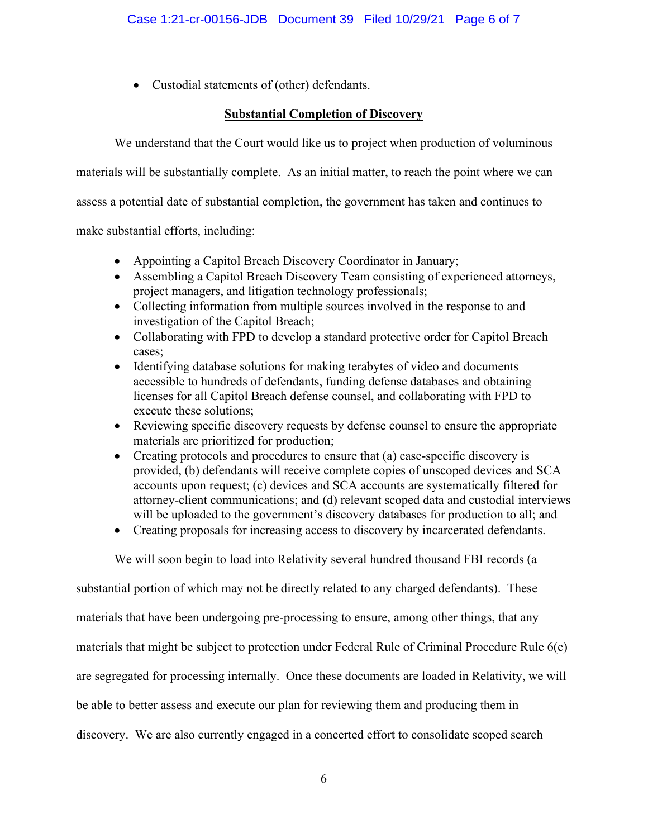• Custodial statements of (other) defendants.

# **Substantial Completion of Discovery**

We understand that the Court would like us to project when production of voluminous

materials will be substantially complete. As an initial matter, to reach the point where we can

assess a potential date of substantial completion, the government has taken and continues to

make substantial efforts, including:

- Appointing a Capitol Breach Discovery Coordinator in January;
- Assembling a Capitol Breach Discovery Team consisting of experienced attorneys, project managers, and litigation technology professionals;
- Collecting information from multiple sources involved in the response to and investigation of the Capitol Breach;
- Collaborating with FPD to develop a standard protective order for Capitol Breach cases;
- Identifying database solutions for making terabytes of video and documents accessible to hundreds of defendants, funding defense databases and obtaining licenses for all Capitol Breach defense counsel, and collaborating with FPD to execute these solutions;
- Reviewing specific discovery requests by defense counsel to ensure the appropriate materials are prioritized for production;
- Creating protocols and procedures to ensure that (a) case-specific discovery is provided, (b) defendants will receive complete copies of unscoped devices and SCA accounts upon request; (c) devices and SCA accounts are systematically filtered for attorney-client communications; and (d) relevant scoped data and custodial interviews will be uploaded to the government's discovery databases for production to all; and
- Creating proposals for increasing access to discovery by incarcerated defendants.

We will soon begin to load into Relativity several hundred thousand FBI records (a

substantial portion of which may not be directly related to any charged defendants). These materials that have been undergoing pre-processing to ensure, among other things, that any materials that might be subject to protection under Federal Rule of Criminal Procedure Rule 6(e) are segregated for processing internally. Once these documents are loaded in Relativity, we will be able to better assess and execute our plan for reviewing them and producing them in discovery. We are also currently engaged in a concerted effort to consolidate scoped search